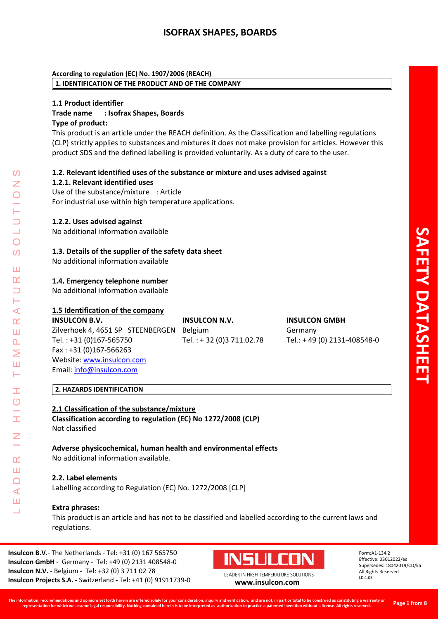## **According to regulation (EC) No. 1907/2006 (REACH) 1. IDENTIFICATION OF THE PRODUCT AND OF THE COMPANY**

# **1.1 Product identifier Trade name : Isofrax Shapes, Boards Type of product:**

This product is an article under the REACH definition. As the Classification and labelling regulations (CLP) strictly applies to substances and mixtures it does not make provision for articles. However this product SDS and the defined labelling is provided voluntarily. As a duty of care to the user .

## **1.2. Relevant identified uses of the substance or mixture and uses advised against 1.2.1. Relevant identified uses**

Use of the substance/mixture : Article For industrial use within high temperature applications.

# **1.2.2. Uses advised against**

No additional information available

# **1.3. Details of the supplier of the safety data sheet**

No additional information available

## **1.4. Emergency telephone number**

No additional information available

# **1.5 Identification of the company**

**INSULCON B.V. INSULCON N.V. INSULCON GMBH** Zilverhoek 4, 4651 SP STEENBERGEN Belgium Germany Tel. : +31 (0)167 Fax : +31 (0)167 -566263 Website: [www.insulcon.com](http://www.insulcon.com/) Email: [info@insulcon.com](mailto:info@insulcon.com)

### **2. HAZARDS IDENTIFICATION**

**2.1 Classification of the substance/mixture Classification according to regulation (EC) No 1272/2008 (CLP)** Not classified

**Adverse physicochemical, human health and environmental effects** No additional information available.

### **2.2. Label elements**

Labelling according to Regulation (EC) No. 1272/2008 [CLP]

### **Extra phrases:**

LEADER IN HIGH TEMPERATURE SOLUTIONS

Ŧ  $\overline{O}$ 

 $\alpha$ Ш  $\Box$  $\blacktriangleleft$ Ш  $\overline{\phantom{0}}$ 

⋖  $\alpha$ Ш  $\overline{\mathbf{r}}$ Σ Ш H

 $\Omega$  $\overline{\phantom{a}}$ 

 $\bigcirc$ 

 $\Omega$ 

Ш  $\alpha$ 

> This product is an article and has not to be classified and labelled according to the current laws and regulations.

Tel. : + 32 (0) 3 711.02.78

**Insulcon B.V.**- The Netherlands - Tel: +31 (0) 167 565750 Insulcon GmbH - Germany - Tel: +49 (0) 2131 408548-0 **Insulcon N.V.** - Belgium - Tel: +32 (0) 3 711 02 78 Insulcon Projects S.A. - Switzerland - Tel: +41 (0) 91911739-



0 **[www.insulcon.com](http://www.insulcon.com/)**

Form:A1 -134.2 Effective: 030 12022/es Supersedes: 18042019/CD/ka All Rights Reserved LD:1.05

-408548 - 0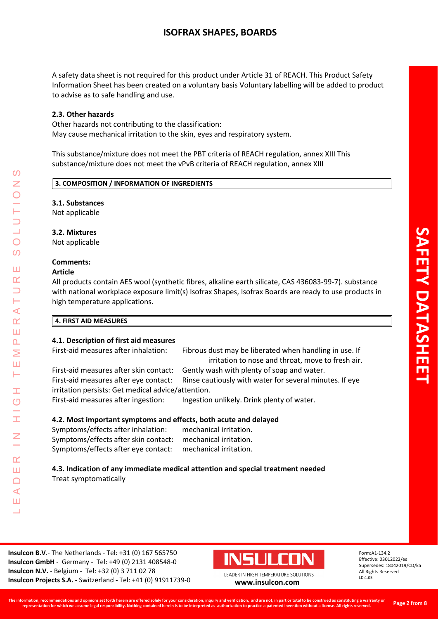A safety data sheet is not required for this product under Article 31 of REACH. This Product Safety Information Sheet has been created on a voluntary basis Voluntary labelling will be added to product to advise as to safe handling and use.

## **2.3. Other hazards**

Other hazards not contributing to the classification: May cause mechanical irritation to the skin, eyes and respiratory system.

This substance/mixture does not meet the PBT criteria of REACH regulation, annex XIII This substance/mixture does not meet the vPvB criteria of REACH regulation, annex XIII

## **3. COMPOSITION / INFORMATION OF INGREDIENTS**

## **3.1. Substances**

Not applicable

## **3.2. Mixtures**

Not applicable

### **Comments:**

### **Article**

LEADER IN HIGH TEMPERATURE SOLUTIONS

Ŧ  $\overline{O}$ 

 $\alpha$ Ш  $\Box$  $\blacktriangleleft$ Ш  $\overline{\phantom{0}}$ 

⋖  $\alpha$ Ш  $\overline{\mathbf{r}}$ Σ Ш Н

 $\Omega$ Z

 $\bigcirc$  $\Omega$ 

Ш  $\alpha$ 

All products contain AES wool (synthetic fibres, alkaline earth silicate, CAS 436083-99-7). substance with national workplace exposure limit(s) Isofrax Shapes, Isofrax Boards are ready to use products in high temperature applications.

### **4. FIRST AID MEASURES**

#### **4.1. Description of first aid measures** First-aid measures after inhalation:

Fibrous dust may be liberated when handling in use. If irritation to nose and throat, move to fresh air.

First-aid measures after skin contact: Gently wash with plenty of soap and water. First-aid measures after eye contact: Rinse cautiously with water for several minutes. If eye irritation persists: Get medical advice/attention.

First-aid measures after ingestion: Ingestion unlikely. Drink plenty of water.

# **4.2. Most important symptoms and effects, both acute and delayed**

Symptoms/effects after inhalation: mechanical irritation. Symptoms/effects after skin contact: mechanical irritation. Symptoms/effects after eye contact: mechanical irritation.

## **4.3. Indication of any immediate medical attention and special treatment needed** Treat symptomatically



0 **[www.insulcon.com](http://www.insulcon.com/)**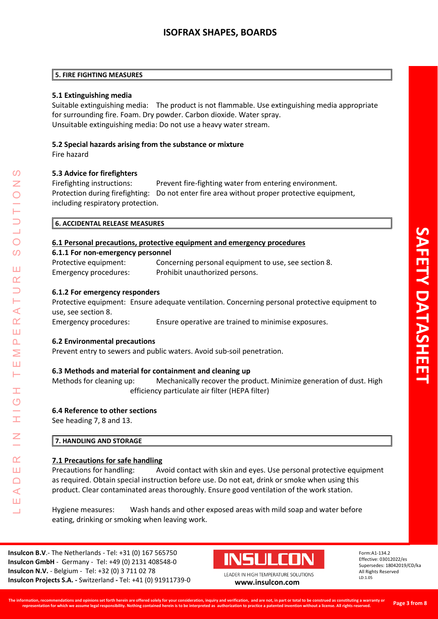### **5. FIRE FIGHTING MEASURES**

# **5.1 Extinguishing media**

Suitable extinguishing media: The product is not flammable. Use extinguishing media appropriate for surrounding fire. Foam. Dry powder. Carbon dioxide. Water spray. Unsuitable extinguishing media: Do not use a heavy water stream.

# **5.2 Special hazards arising from the substance or mixture**

Fire hazard

# **5.3 Advice for firefighters**

Firefighting instructions: Prevent fire-fighting water from entering environment. Protection during firefighting: Do not enter fire area without proper protective equipment, including respiratory protection.

# **6.1 Personal precautions, protective equipment and emergency procedures**

### **6.1.1 For non -emergency personnel** Protective equipment: Concerning personal equipment to use, see section 8. Emergency procedures: Prohibit unauthorized persons.

## **6.1.2 For emergency responders**

Protective equipment: Ensure adequate ventilation. Concerning personal protective equipment to use, see section 8.

Emergency procedures: Ensure operative are trained to minimise exposures.

# **6.2 Environmental precautions**

LEADER IN HIGH TEMPERATURE SOLUTIONS

Ŧ  $\overline{O}$ 

 $\alpha$ Ш  $\Box$  $\blacktriangleleft$ Ш  $\overline{\phantom{0}}$ 

⋖  $\alpha$ Ш  $\overline{\mathbf{r}}$ Σ Ш Н

 $\Omega$  $\overline{\phantom{a}}$ 

 $\bigcirc$  $\Omega$ 

Ш  $\alpha$ 

Prevent entry to sewers and public waters. Avoid sub -soil penetration.

# **6.3 Methods and material for containment and cleaning up**

Methods for cleaning up: Mechanically recover the product. Minimize generation of dust. High efficiency particulate air filter (HEPA filter)

# **6.4 Reference to other sections**

See heading 7, 8 and 13.

# **7. HANDLING AND STORAGE**

### **7.1 Precautions for safe handling**

Precautions for handling: Avoid contact with skin and eyes. Use personal protective equipment as required. Obtain special instruction before use. Do not eat, drink or smoke when using this product. Clear contaminated areas thoroughly. Ensure good ventilation of the work station.

Hygiene measures: Wash hands and other exposed areas with mild soap and water before eating, drinking or smoking when leaving work.

**Insulcon B.V.**- The Netherlands - Tel: +31 (0) 167 565750 Insulcon GmbH - Germany - Tel: +49 (0) 2131 408548-0 **Insulcon N.V.** - Belgium - Tel: +32 (0) 3 711 02 78 Insulcon Projects S.A. - Switzerland - Tel: +41 (0) 91911739-

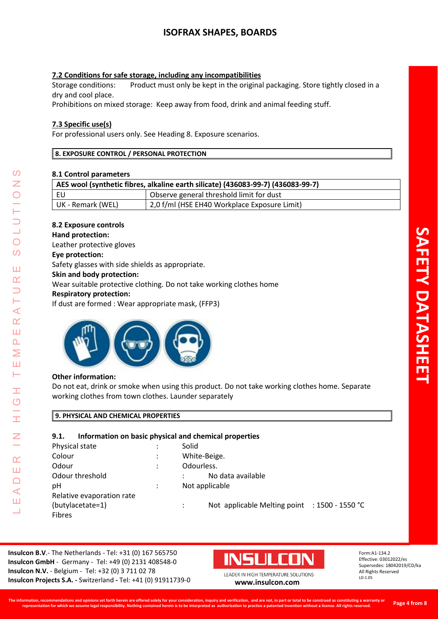## **7.2 Conditions for safe storage, including any incompatibilities**

Storage conditions: Product must only be kept in the original packaging. Store tightly closed in a dry and cool place.

Prohibitions on mixed storage: Keep away from food, drink and animal feeding stuff.

## **7.3 Specific use(s)**

For professional users only. See Heading 8. Exposure scenarios.

#### **8. EXPOSURE CONTROL / PERSONAL PROTECTION**

#### **8.1 Control parameters**

| AES wool (synthetic fibres, alkaline earth silicate) (436083-99-7) (436083-99-7) |                                              |  |
|----------------------------------------------------------------------------------|----------------------------------------------|--|
| EU                                                                               | Observe general threshold limit for dust     |  |
| UK - Remark (WEL)                                                                | 2,0 f/ml (HSE EH40 Workplace Exposure Limit) |  |

### **8.2 Exposure controls**

#### **Hand protection:**

Leather protective gloves

#### **Eye protection:**

Safety glasses with side shields as appropriate.

#### **Skin and body protection:**

Wear suitable protective clothing. Do not take working clothes home

### **Respiratory protection:**

If dust are formed : Wear appropriate mask, (FFP3)



### **Other information:**

LEADER IN HIGH TEMPERATURE SOLUTIONS

Ŧ  $\overline{O}$ 

İ

Z

 $\alpha$ Ш  $\Box$  $\triangleleft$ Ш  $\overline{\phantom{0}}$ 

 $\prec$  $\alpha$ Ш  $\Delta$ Σ Ш  $\vdash$ 

 $\Omega$ Z

 $\bigcirc$ 

 $\overline{O}$ 

Ш  $\alpha$  $\overline{\phantom{0}}$ 

> Do not eat, drink or smoke when using this product. Do not take working clothes home. Separate working clothes from town clothes. Launder separately

## **9. PHYSICAL AND CHEMICAL PROPERTIES**

### **9.1. Information on basic physical and chemical properties**

| Physical state            |   | Solid                                         |
|---------------------------|---|-----------------------------------------------|
| Colour                    | ٠ | White-Beige.                                  |
| Odour                     | ٠ | Odourless.                                    |
| Odour threshold           |   | No data available                             |
| рH                        |   | Not applicable                                |
| Relative evaporation rate |   |                                               |
| (butylacetate=1)          |   | Not applicable Melting point : 1500 - 1550 °C |
| <b>Fibres</b>             |   |                                               |

**Insulcon B.V.**- The Netherlands - Tel: +31 (0) 167 565750 Insulcon GmbH - Germany - Tel: +49 (0) 2131 408548-0 **Insulcon N.V.** - Belgium - Tel: +32 (0) 3 711 02 78 Insulcon Projects S.A. - Switzerland - Tel: +41 (0) 91911739-

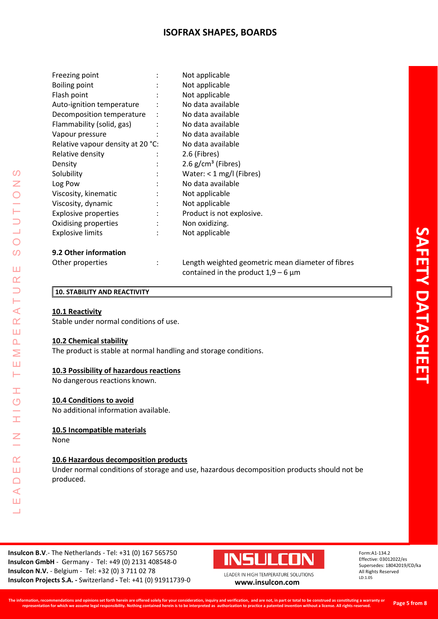| Freezing point                    | Not applicable                   |
|-----------------------------------|----------------------------------|
| <b>Boiling point</b>              | Not applicable                   |
| Flash point                       | Not applicable                   |
| Auto-ignition temperature         | No data available                |
| Decomposition temperature         | No data available                |
| Flammability (solid, gas)         | No data available                |
| Vapour pressure                   | No data available                |
| Relative vapour density at 20 °C: | No data available                |
| Relative density                  | 2.6 (Fibres)                     |
| Density                           | $2.6$ g/cm <sup>3</sup> (Fibres) |
| Solubility                        | Water: $<$ 1 mg/l (Fibres)       |
| Log Pow                           | No data available                |
| Viscosity, kinematic              | Not applicable                   |
| Viscosity, dynamic                | Not applicable                   |
| <b>Explosive properties</b>       | Product is not explosive.        |
| Oxidising properties              | Non oxidizing.                   |
| <b>Explosive limits</b>           | Not applicable                   |
|                                   |                                  |
|                                   |                                  |

### **9.2 Other information**

| Other properties | ٠ | Length weighted geometric mean diameter of fibres |
|------------------|---|---------------------------------------------------|
|                  |   | contained in the product $1,9-6 \mu m$            |

#### **10. STABILITY AND REACTIVITY**

#### **10.1 Reactivity**

Stable under normal conditions of use.

#### **10.2 Chemical stability**

The product is stable at normal handling and storage conditions.

#### **10.3 Possibility of hazardous reactions**

No dangerous reactions known.

#### **10.4 Conditions to avoid**

No additional information available.

# **10.5 Incompatible materials**

None

LEADER IN HIGH TEMPERATURE SOLUTIONS

Ŧ.  $\circlearrowleft$ 

Ĩ.

 $\overline{a}$ 

 $\alpha$ Ш  $\Box$  $\triangleleft$ Ш Ц

 $\Omega$  $\overline{z}$  $\bigcirc$ 

 $\bigcirc$  $\mathcal{O}$ 

Ш  $\alpha$  $\overline{\phantom{0}}$ Н  $\prec$  $\underline{\alpha}$ Ш  $\Delta$  $\geq$ Ш Н

# **10.6 Hazardous decomposition products**

Under normal conditions of storage and use, hazardous decomposition products should not be produced.

**Insulcon B.V.**- The Netherlands - Tel: +31 (0) 167 565750 Insulcon GmbH - Germany - Tel: +49 (0) 2131 408548-0 **Insulcon N.V.** - Belgium - Tel: +32 (0) 3 711 02 78 Insulcon Projects S.A. - Switzerland - Tel: +41 (0) 91911739-



LEADER IN HIGH TEMPERATURE SOLUTIONS 0 **[www.insulcon.com](http://www.insulcon.com/)**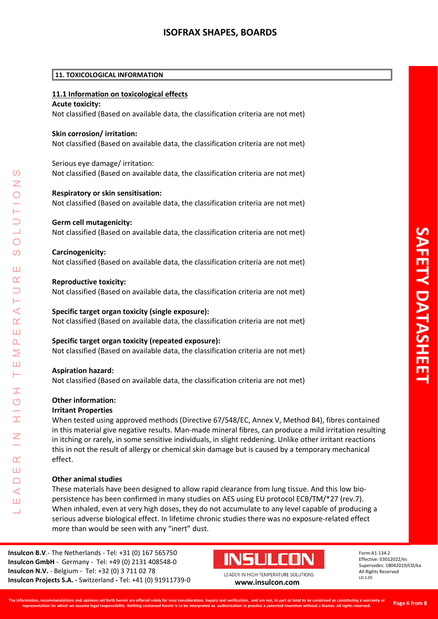#### **11. TOXICOLOGICAL INFORMATION**

### **11.1 Information on toxicological effects**

#### **Acute toxicity:**

Not classified (Based on available data, the classification criteria are not met)

#### **Skin corrosion/ irritation:**

Not classified (Based on available data, the classification criteria are not met)

#### Serious eye damage/ irritation:

Not classified (Based on available data, the classification criteria are not met)

#### **Respiratory or skin sensitisation:**

Not classified (Based on available data, the classification criteria are not met)

#### **Germ cell mutagenicity:**

Not classified (Based on available data, the classification criteria are not met)

#### **Carcinogenicity:**

Not classified (Based on available data, the classification criteria are not met)

#### **Reproductive toxicity:**

Not classified (Based on available data, the classification criteria are not met)

# **Specific target organ toxicity (single exposure):**

Not classified (Based on available data, the classification criteria are not met)

### **Specific target organ toxicity (repeated exposure):**

Not classified (Based on available data, the classification criteria are not met)

### **Aspiration hazard:**

LEADER IN HIGH TEMPERATURE SOLUTIONS

Ŧ  $\overline{O}$ 

 $\alpha$ Ш  $\Box$  $\blacktriangleleft$ Ш

 $\blacktriangleleft$  $\underline{\alpha}$ Ш  $\overline{\mathbf{r}}$ Σ Ш Н

 $\Omega$ 

 $\bigcirc$  $\Omega$ 

Ш  $\alpha$ 

Not classified (Based on available data, the classification criteria are not met)

### **Other information:**

#### **Irritant Properties**

When tested using approved methods (Directive 67/548/EC, Annex V, Method B4), fibres contained in this material give negative results. Man-made mineral fibres, can produce a mild irritation resulting in itching or rarely, in some sensitive individuals, in slight reddening. Unlike other irritant reactions this in not the result of allergy or chemical skin damage but is caused by a temporary mechanical effect.

### **Other animal studies**

These materials have been designed to allow rapid clearance from lung tissue. And this low bio persistence has been confirmed in many studies on AES using EU protocol ECB/TM/\*27 (rev.7). When inhaled, even at very high doses, they do not accumulate to any level capable of producing a serious adverse biological effect. In lifetime chronic studies there was no exposure -related effect more than would be seen with any "inert" dust.

**Insulcon B.V.**- The Netherlands - Tel: +31 (0) 167 565750 Insulcon GmbH - Germany - Tel: +49 (0) 2131 408548-0 **Insulcon N.V.** - Belgium - Tel: +32 (0) 3 711 02 78 Insulcon Projects S.A. - Switzerland - Tel: +41 (0) 91911739-



0 **[www.insulcon.com](http://www.insulcon.com/)**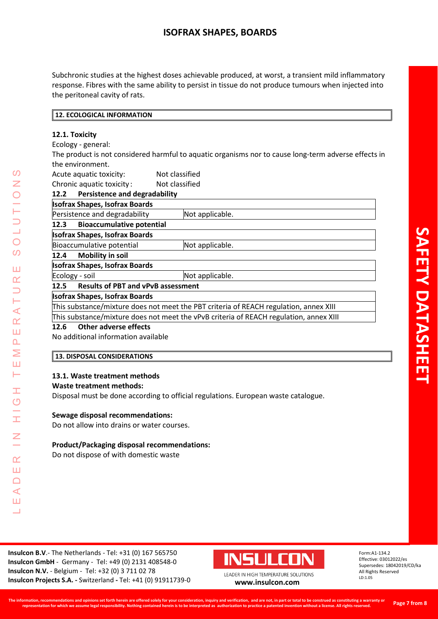Subchronic studies at the highest doses achievable produced, at worst, a transient mild inflammatory response. Fibres with the same ability to persist in tissue do not produce tumours when injected into the peritoneal cavity of rats.

## **12. ECOLOGICAL INFORMATION**

## **12.1. Toxicity**

Ecology - general:

The product is not considered harmful to aquatic organisms nor to cause long -term adverse effects in the environment.

Acute aquatic toxicity: Not classified

Chronic aquatic toxicity : Not classified

| <b>Persistence and degradability</b><br>12.2                                           |                 |  |
|----------------------------------------------------------------------------------------|-----------------|--|
| <b>Isofrax Shapes, Isofrax Boards</b>                                                  |                 |  |
| Persistence and degradability                                                          | Not applicable. |  |
| <b>Bioaccumulative potential</b><br>12.3                                               |                 |  |
| <b>Isofrax Shapes, Isofrax Boards</b>                                                  |                 |  |
| Bioaccumulative potential                                                              | Not applicable. |  |
| <b>Mobility in soil</b><br>12.4                                                        |                 |  |
| <b>Isofrax Shapes, Isofrax Boards</b>                                                  |                 |  |
| Ecology - soil                                                                         | Not applicable. |  |
| 12.5 Results of PBT and vPvB assessment                                                |                 |  |
| <b>Isofrax Shapes, Isofrax Boards</b>                                                  |                 |  |
| This substance/mixture does not meet the PBT criteria of REACH regulation, annex XIII  |                 |  |
| This substance/mixture does not meet the vPvB criteria of REACH regulation, annex XIII |                 |  |
|                                                                                        |                 |  |

### **12.6 Other adverse effects**

LEADER IN HIGH TEMPERATURE SOLUTIONS

Ŧ  $\overline{O}$ 

I

 $\overline{z}$ 

 $\alpha$ Ш  $\Box$  $\triangleleft$ Ш  $\overline{\phantom{0}}$ 

 $\Omega$ Z

 $\bigcirc$ 

 $\Omega$ 

Ш  $\alpha$  $\overline{\phantom{0}}$ H  $\prec$  $\alpha$ Ш  $\Delta$ Σ Ш Н

No additional information available

### **13. DISPOSAL CONSIDERATIONS**

### **13.1. Waste treatment methods**

#### **Waste treatment methods:**

Disposal must be done according to official regulations. European waste catalogue.

## **Sewage disposal recommendations:**

Do not allow into drains or water courses.

### **Product/Packaging disposal recommendations:**

Do not dispose of with domestic waste

**Insulcon B.V.**- The Netherlands - Tel: +31 (0) 167 565750 Insulcon GmbH - Germany - Tel: +49 (0) 2131 408548-0 **Insulcon N.V.** - Belgium - Tel: +32 (0) 3 711 02 78 Insulcon Projects S.A. - Switzerland - Tel: +41 (0) 91911739-



0 **[www.insulcon.com](http://www.insulcon.com/)**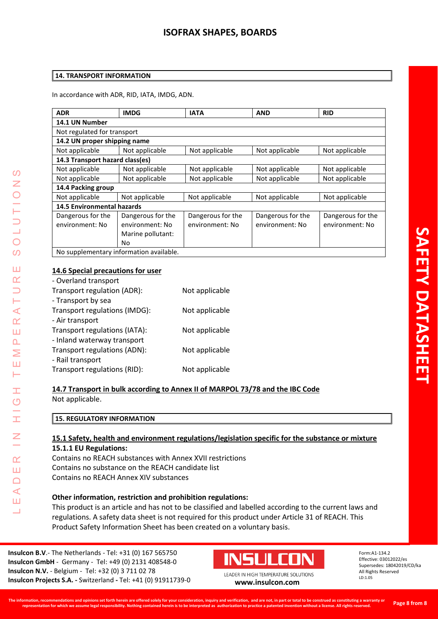#### **14. TRANSPORT INFORMATION**

In accordance with ADR, RID, IATA, IMDG, ADN.

| <b>ADR</b>                        | <b>IMDG</b>                             | <b>IATA</b>       | <b>AND</b>        | <b>RID</b>        |
|-----------------------------------|-----------------------------------------|-------------------|-------------------|-------------------|
| 14.1 UN Number                    |                                         |                   |                   |                   |
| Not regulated for transport       |                                         |                   |                   |                   |
| 14.2 UN proper shipping name      |                                         |                   |                   |                   |
| Not applicable                    | Not applicable                          | Not applicable    | Not applicable    | Not applicable    |
| 14.3 Transport hazard class(es)   |                                         |                   |                   |                   |
| Not applicable                    | Not applicable                          | Not applicable    | Not applicable    | Not applicable    |
| Not applicable                    | Not applicable                          | Not applicable    | Not applicable    | Not applicable    |
| 14.4 Packing group                |                                         |                   |                   |                   |
| Not applicable                    | Not applicable                          | Not applicable    | Not applicable    | Not applicable    |
| <b>14.5 Environmental hazards</b> |                                         |                   |                   |                   |
| Dangerous for the                 | Dangerous for the                       | Dangerous for the | Dangerous for the | Dangerous for the |
| environment: No                   | environment: No                         | environment: No   | environment: No   | environment: No   |
|                                   | Marine pollutant:                       |                   |                   |                   |
|                                   | No                                      |                   |                   |                   |
|                                   | No supplementary information available. |                   |                   |                   |

## **14.6 Special precautions for user**

| - Overland transport          |                |
|-------------------------------|----------------|
| Transport regulation (ADR):   | Not applicable |
| - Transport by sea            |                |
| Transport regulations (IMDG): | Not applicable |
| - Air transport               |                |
| Transport regulations (IATA): | Not applicable |
| - Inland waterway transport   |                |
| Transport regulations (ADN):  | Not applicable |
| - Rail transport              |                |
| Transport regulations (RID):  | Not applicable |

**14.7 Transport in bulk according to Annex II of MARPOL 73/78 and the IBC Code**

Not applicable.

LEADER IN HIGH TEMPERATURE SOLUTIONS

Ŧ  $\overline{O}$ 

I

 $\overline{z}$ 

 $\alpha$ Ш  $\Box$  $\triangleleft$ Ш ┙

 $\overline{O}$ Z

 $\bigcirc$  $\Omega$ 

Ш  $\alpha$  $\Box$ ⊢  $\prec$  $\alpha$ Ш  $\Delta$ Σ Ш  $\vdash$ 

| <b>15. REGULATORY INFORMATION</b> |
|-----------------------------------|
|-----------------------------------|

# **15.1 Safety, health and environment regulations/legislation specific for the substance or mixture**

### **15.1.1 EU Regulations:**

Contains no REACH substances with Annex XVII restrictions Contains no substance on the REACH candidate list Contains no REACH Annex XIV substances

# **Other information, restriction and prohibition regulations:**

This product is an article and has not to be classified and labelled according to the current laws and regulations. A safety data sheet is not required for this product under Article 31 of REACH. This Product Safety Information Sheet has been created on a voluntary basis.

**Insulcon B.V.**- The Netherlands - Tel: +31 (0) 167 565750 Insulcon GmbH - Germany - Tel: +49 (0) 2131 408548-0 **Insulcon N.V.** - Belgium - Tel: +32 (0) 3 711 02 78 Insulcon Projects S.A. - Switzerland - Tel: +41 (0) 91911739-



0 **[www.insulcon.com](http://www.insulcon.com/)**